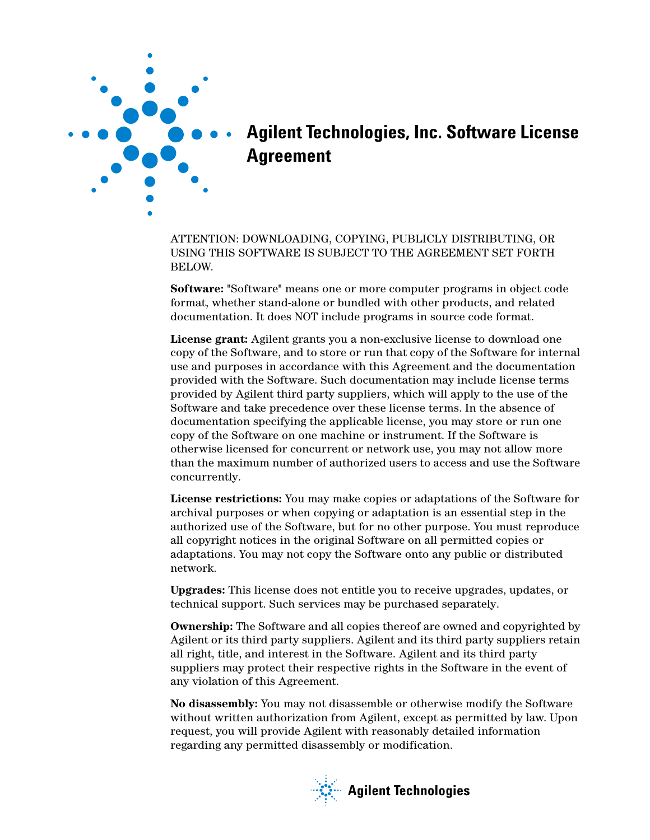

## **Agilent Technologies, Inc. Software License Agreement**

ATTENTION: DOWNLOADING, COPYING, PUBLICLY DISTRIBUTING, OR USING THIS SOFTWARE IS SUBJECT TO THE AGREEMENT SET FORTH BELOW.

**Software:** "Software" means one or more computer programs in object code format, whether stand-alone or bundled with other products, and related documentation. It does NOT include programs in source code format.

**License grant:** Agilent grants you a non-exclusive license to download one copy of the Software, and to store or run that copy of the Software for internal use and purposes in accordance with this Agreement and the documentation provided with the Software. Such documentation may include license terms provided by Agilent third party suppliers, which will apply to the use of the Software and take precedence over these license terms. In the absence of documentation specifying the applicable license, you may store or run one copy of the Software on one machine or instrument. If the Software is otherwise licensed for concurrent or network use, you may not allow more than the maximum number of authorized users to access and use the Software concurrently.

**License restrictions:** You may make copies or adaptations of the Software for archival purposes or when copying or adaptation is an essential step in the authorized use of the Software, but for no other purpose. You must reproduce all copyright notices in the original Software on all permitted copies or adaptations. You may not copy the Software onto any public or distributed network.

**Upgrades:** This license does not entitle you to receive upgrades, updates, or technical support. Such services may be purchased separately.

**Ownership:** The Software and all copies thereof are owned and copyrighted by Agilent or its third party suppliers. Agilent and its third party suppliers retain all right, title, and interest in the Software. Agilent and its third party suppliers may protect their respective rights in the Software in the event of any violation of this Agreement.

**No disassembly:** You may not disassemble or otherwise modify the Software without written authorization from Agilent, except as permitted by law. Upon request, you will provide Agilent with reasonably detailed information regarding any permitted disassembly or modification.

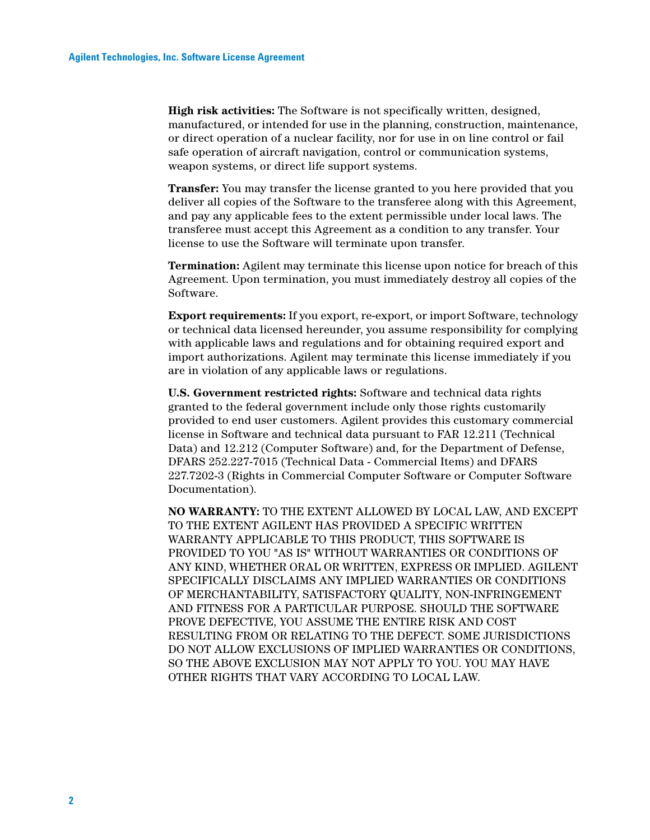**High risk activities:** The Software is not specifically written, designed, manufactured, or intended for use in the planning, construction, maintenance, or direct operation of a nuclear facility, nor for use in on line control or fail safe operation of aircraft navigation, control or communication systems, weapon systems, or direct life support systems.

**Transfer:** You may transfer the license granted to you here provided that you deliver all copies of the Software to the transferee along with this Agreement, and pay any applicable fees to the extent permissible under local laws. The transferee must accept this Agreement as a condition to any transfer. Your license to use the Software will terminate upon transfer.

**Termination:** Agilent may terminate this license upon notice for breach of this Agreement. Upon termination, you must immediately destroy all copies of the Software.

**Export requirements:** If you export, re-export, or import Software, technology or technical data licensed hereunder, you assume responsibility for complying with applicable laws and regulations and for obtaining required export and import authorizations. Agilent may terminate this license immediately if you are in violation of any applicable laws or regulations.

**U.S. Government restricted rights:** Software and technical data rights granted to the federal government include only those rights customarily provided to end user customers. Agilent provides this customary commercial license in Software and technical data pursuant to FAR 12.211 (Technical Data) and 12.212 (Computer Software) and, for the Department of Defense, DFARS 252.227-7015 (Technical Data - Commercial Items) and DFARS 227.7202-3 (Rights in Commercial Computer Software or Computer Software Documentation).

**NO WARRANTY:** TO THE EXTENT ALLOWED BY LOCAL LAW, AND EXCEPT TO THE EXTENT AGILENT HAS PROVIDED A SPECIFIC WRITTEN WARRANTY APPLICABLE TO THIS PRODUCT, THIS SOFTWARE IS PROVIDED TO YOU "AS IS" WITHOUT WARRANTIES OR CONDITIONS OF ANY KIND, WHETHER ORAL OR WRITTEN, EXPRESS OR IMPLIED. AGILENT SPECIFICALLY DISCLAIMS ANY IMPLIED WARRANTIES OR CONDITIONS OF MERCHANTABILITY, SATISFACTORY QUALITY, NON-INFRINGEMENT AND FITNESS FOR A PARTICULAR PURPOSE. SHOULD THE SOFTWARE PROVE DEFECTIVE, YOU ASSUME THE ENTIRE RISK AND COST RESULTING FROM OR RELATING TO THE DEFECT. SOME JURISDICTIONS DO NOT ALLOW EXCLUSIONS OF IMPLIED WARRANTIES OR CONDITIONS, SO THE ABOVE EXCLUSION MAY NOT APPLY TO YOU. YOU MAY HAVE OTHER RIGHTS THAT VARY ACCORDING TO LOCAL LAW.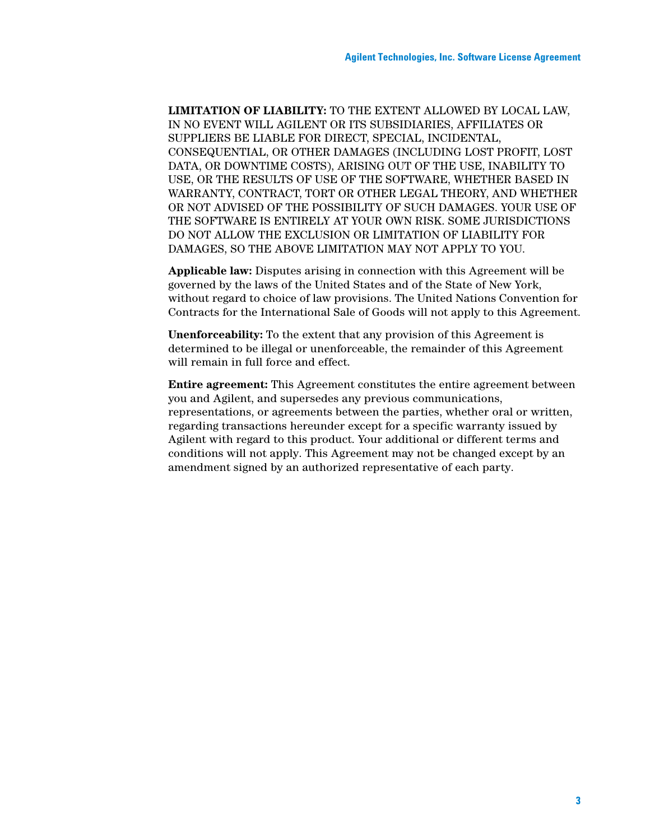**LIMITATION OF LIABILITY:** TO THE EXTENT ALLOWED BY LOCAL LAW, IN NO EVENT WILL AGILENT OR ITS SUBSIDIARIES, AFFILIATES OR SUPPLIERS BE LIABLE FOR DIRECT, SPECIAL, INCIDENTAL, CONSEQUENTIAL, OR OTHER DAMAGES (INCLUDING LOST PROFIT, LOST DATA, OR DOWNTIME COSTS), ARISING OUT OF THE USE, INABILITY TO USE, OR THE RESULTS OF USE OF THE SOFTWARE, WHETHER BASED IN WARRANTY, CONTRACT, TORT OR OTHER LEGAL THEORY, AND WHETHER OR NOT ADVISED OF THE POSSIBILITY OF SUCH DAMAGES. YOUR USE OF THE SOFTWARE IS ENTIRELY AT YOUR OWN RISK. SOME JURISDICTIONS DO NOT ALLOW THE EXCLUSION OR LIMITATION OF LIABILITY FOR DAMAGES, SO THE ABOVE LIMITATION MAY NOT APPLY TO YOU.

**Applicable law:** Disputes arising in connection with this Agreement will be governed by the laws of the United States and of the State of New York, without regard to choice of law provisions. The United Nations Convention for Contracts for the International Sale of Goods will not apply to this Agreement.

**Unenforceability:** To the extent that any provision of this Agreement is determined to be illegal or unenforceable, the remainder of this Agreement will remain in full force and effect.

**Entire agreement:** This Agreement constitutes the entire agreement between you and Agilent, and supersedes any previous communications, representations, or agreements between the parties, whether oral or written, regarding transactions hereunder except for a specific warranty issued by Agilent with regard to this product. Your additional or different terms and conditions will not apply. This Agreement may not be changed except by an amendment signed by an authorized representative of each party.